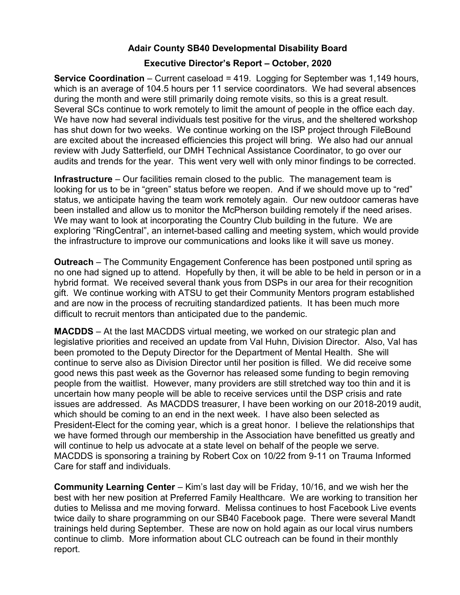## Adair County SB40 Developmental Disability Board

## Executive Director's Report – October, 2020

Service Coordination – Current caseload = 419. Logging for September was 1,149 hours, which is an average of 104.5 hours per 11 service coordinators. We had several absences during the month and were still primarily doing remote visits, so this is a great result. Several SCs continue to work remotely to limit the amount of people in the office each day. We have now had several individuals test positive for the virus, and the sheltered workshop has shut down for two weeks. We continue working on the ISP project through FileBound are excited about the increased efficiencies this project will bring. We also had our annual review with Judy Satterfield, our DMH Technical Assistance Coordinator, to go over our audits and trends for the year. This went very well with only minor findings to be corrected.

Infrastructure – Our facilities remain closed to the public. The management team is looking for us to be in "green" status before we reopen. And if we should move up to "red" status, we anticipate having the team work remotely again. Our new outdoor cameras have been installed and allow us to monitor the McPherson building remotely if the need arises. We may want to look at incorporating the Country Club building in the future. We are exploring "RingCentral", an internet-based calling and meeting system, which would provide the infrastructure to improve our communications and looks like it will save us money.

Outreach – The Community Engagement Conference has been postponed until spring as no one had signed up to attend. Hopefully by then, it will be able to be held in person or in a hybrid format. We received several thank yous from DSPs in our area for their recognition gift. We continue working with ATSU to get their Community Mentors program established and are now in the process of recruiting standardized patients. It has been much more difficult to recruit mentors than anticipated due to the pandemic.

MACDDS – At the last MACDDS virtual meeting, we worked on our strategic plan and legislative priorities and received an update from Val Huhn, Division Director. Also, Val has been promoted to the Deputy Director for the Department of Mental Health. She will continue to serve also as Division Director until her position is filled. We did receive some good news this past week as the Governor has released some funding to begin removing people from the waitlist. However, many providers are still stretched way too thin and it is uncertain how many people will be able to receive services until the DSP crisis and rate issues are addressed. As MACDDS treasurer, I have been working on our 2018-2019 audit, which should be coming to an end in the next week. I have also been selected as President-Elect for the coming year, which is a great honor. I believe the relationships that we have formed through our membership in the Association have benefitted us greatly and will continue to help us advocate at a state level on behalf of the people we serve. MACDDS is sponsoring a training by Robert Cox on 10/22 from 9-11 on Trauma Informed Care for staff and individuals.

Community Learning Center – Kim's last day will be Friday, 10/16, and we wish her the best with her new position at Preferred Family Healthcare. We are working to transition her duties to Melissa and me moving forward. Melissa continues to host Facebook Live events twice daily to share programming on our SB40 Facebook page. There were several Mandt trainings held during September. These are now on hold again as our local virus numbers continue to climb. More information about CLC outreach can be found in their monthly report.